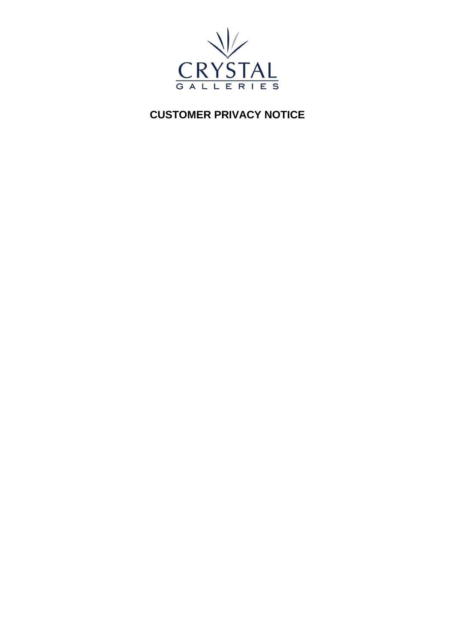

# **CUSTOMER PRIVACY NOTICE**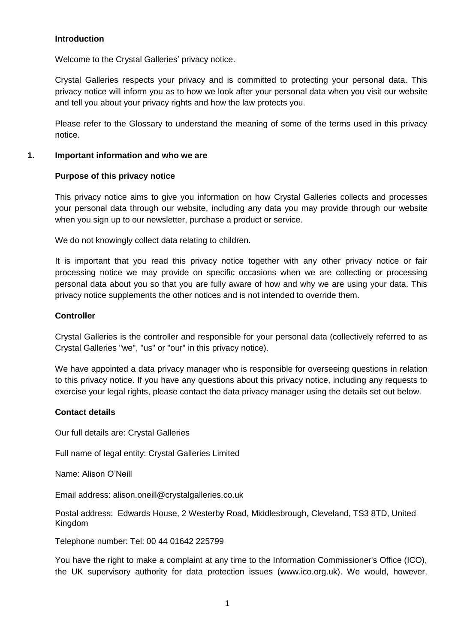#### **Introduction**

Welcome to the Crystal Galleries' privacy notice.

Crystal Galleries respects your privacy and is committed to protecting your personal data. This privacy notice will inform you as to how we look after your personal data when you visit our website and tell you about your privacy rights and how the law protects you.

Please refer to the Glossary to understand the meaning of some of the terms used in this privacy notice.

#### **1. Important information and who we are**

#### **Purpose of this privacy notice**

This privacy notice aims to give you information on how Crystal Galleries collects and processes your personal data through our website, including any data you may provide through our website when you sign up to our newsletter, purchase a product or service.

We do not knowingly collect data relating to children.

It is important that you read this privacy notice together with any other privacy notice or fair processing notice we may provide on specific occasions when we are collecting or processing personal data about you so that you are fully aware of how and why we are using your data. This privacy notice supplements the other notices and is not intended to override them.

#### **Controller**

Crystal Galleries is the controller and responsible for your personal data (collectively referred to as Crystal Galleries "we", "us" or "our" in this privacy notice).

We have appointed a data privacy manager who is responsible for overseeing questions in relation to this privacy notice. If you have any questions about this privacy notice, including any requests to exercise your legal rights, please contact the data privacy manager using the details set out below.

#### **Contact details**

Our full details are: Crystal Galleries

Full name of legal entity: Crystal Galleries Limited

Name: Alison O'Neill

Email address: alison.oneill@crystalgalleries.co.uk

Postal address: Edwards House, 2 Westerby Road, Middlesbrough, Cleveland, TS3 8TD, United Kingdom

Telephone number: Tel: 00 44 01642 225799

You have the right to make a complaint at any time to the Information Commissioner's Office (ICO), the UK supervisory authority for data protection issues (www.ico.org.uk). We would, however,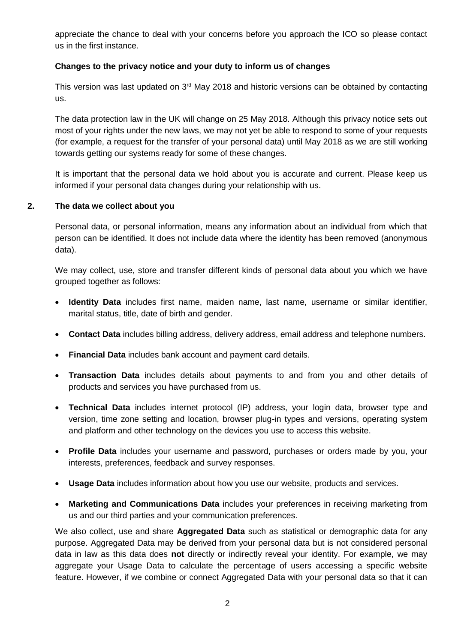appreciate the chance to deal with your concerns before you approach the ICO so please contact us in the first instance.

# **Changes to the privacy notice and your duty to inform us of changes**

This version was last updated on 3<sup>rd</sup> May 2018 and historic versions can be obtained by contacting us.

The data protection law in the UK will change on 25 May 2018. Although this privacy notice sets out most of your rights under the new laws, we may not yet be able to respond to some of your requests (for example, a request for the transfer of your personal data) until May 2018 as we are still working towards getting our systems ready for some of these changes.

It is important that the personal data we hold about you is accurate and current. Please keep us informed if your personal data changes during your relationship with us.

## **2. The data we collect about you**

Personal data, or personal information, means any information about an individual from which that person can be identified. It does not include data where the identity has been removed (anonymous data).

We may collect, use, store and transfer different kinds of personal data about you which we have grouped together as follows:

- **Identity Data** includes first name, maiden name, last name, username or similar identifier, marital status, title, date of birth and gender.
- **Contact Data** includes billing address, delivery address, email address and telephone numbers.
- **Financial Data** includes bank account and payment card details.
- **Transaction Data** includes details about payments to and from you and other details of products and services you have purchased from us.
- **Technical Data** includes internet protocol (IP) address, your login data, browser type and version, time zone setting and location, browser plug-in types and versions, operating system and platform and other technology on the devices you use to access this website.
- **Profile Data** includes your username and password, purchases or orders made by you, your interests, preferences, feedback and survey responses.
- **Usage Data** includes information about how you use our website, products and services.
- **Marketing and Communications Data** includes your preferences in receiving marketing from us and our third parties and your communication preferences.

We also collect, use and share **Aggregated Data** such as statistical or demographic data for any purpose. Aggregated Data may be derived from your personal data but is not considered personal data in law as this data does **not** directly or indirectly reveal your identity. For example, we may aggregate your Usage Data to calculate the percentage of users accessing a specific website feature. However, if we combine or connect Aggregated Data with your personal data so that it can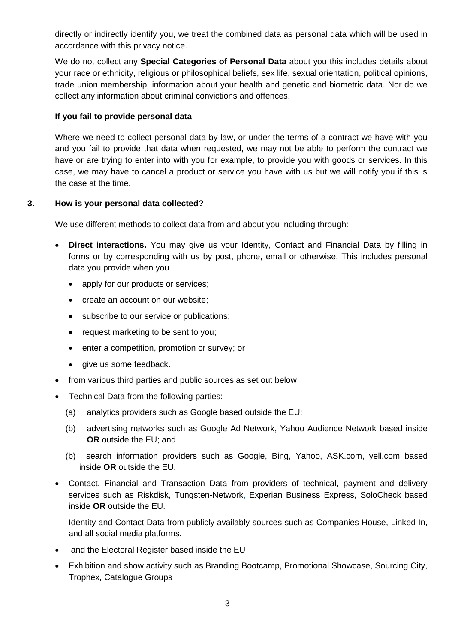directly or indirectly identify you, we treat the combined data as personal data which will be used in accordance with this privacy notice.

We do not collect any **Special Categories of Personal Data** about you this includes details about your race or ethnicity, religious or philosophical beliefs, sex life, sexual orientation, political opinions, trade union membership, information about your health and genetic and biometric data. Nor do we collect any information about criminal convictions and offences.

## **If you fail to provide personal data**

Where we need to collect personal data by law, or under the terms of a contract we have with you and you fail to provide that data when requested, we may not be able to perform the contract we have or are trying to enter into with you for example, to provide you with goods or services. In this case, we may have to cancel a product or service you have with us but we will notify you if this is the case at the time.

## **3. How is your personal data collected?**

We use different methods to collect data from and about you including through:

- **Direct interactions.** You may give us your Identity, Contact and Financial Data by filling in forms or by corresponding with us by post, phone, email or otherwise. This includes personal data you provide when you
	- apply for our products or services;
	- create an account on our website;
	- subscribe to our service or publications;
	- request marketing to be sent to you;
	- enter a competition, promotion or survey; or
	- give us some feedback.
- from various third parties and public sources as set out below
- Technical Data from the following parties:
	- (a) analytics providers such as Google based outside the EU;
	- (b) advertising networks such as Google Ad Network, Yahoo Audience Network based inside **OR** outside the EU; and
	- (b) search information providers such as Google, Bing, Yahoo, ASK.com, yell.com based inside **OR** outside the EU.
- Contact, Financial and Transaction Data from providers of technical, payment and delivery services such as Riskdisk, Tungsten-Network, Experian Business Express, SoloCheck based inside **OR** outside the EU.

Identity and Contact Data from publicly availably sources such as Companies House, Linked In, and all social media platforms.

- and the Electoral Register based inside the EU
- Exhibition and show activity such as Branding Bootcamp, Promotional Showcase, Sourcing City, Trophex, Catalogue Groups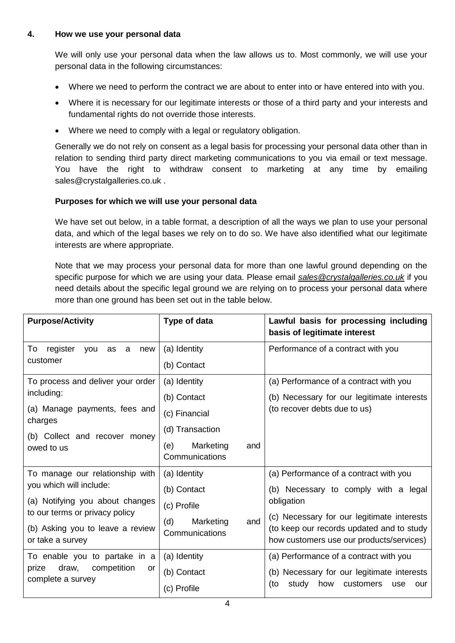## **4. How we use your personal data**

We will only use your personal data when the law allows us to. Most commonly, we will use your personal data in the following circumstances:

- Where we need to perform the contract we are about to enter into or have entered into with you.
- Where it is necessary for our legitimate interests or those of a third party and your interests and fundamental rights do not override those interests.
- Where we need to comply with a legal or regulatory obligation.

Generally we do not rely on consent as a legal basis for processing your personal data other than in relation to sending third party direct marketing communications to you via email or text message. You have the right to withdraw consent to marketing at any time by emailing sales@crystalgalleries.co.uk .

## **Purposes for which we will use your personal data**

We have set out below, in a table format, a description of all the ways we plan to use your personal data, and which of the legal bases we rely on to do so. We have also identified what our legitimate interests are where appropriate.

Note that we may process your personal data for more than one lawful ground depending on the specific purpose for which we are using your data. Please email *[sales@crystalgalleries.co.uk](mailto:sales@crystalgalleries.co.uk)* if you need details about the specific legal ground we are relying on to process your personal data where more than one ground has been set out in the table below.

| <b>Purpose/Activity</b>                                                                   | Type of data                              | Lawful basis for processing including<br>basis of legitimate interest                                                               |
|-------------------------------------------------------------------------------------------|-------------------------------------------|-------------------------------------------------------------------------------------------------------------------------------------|
| register<br>To<br>you<br>as<br>a<br>new                                                   | (a) Identity                              | Performance of a contract with you                                                                                                  |
| customer                                                                                  | (b) Contact                               |                                                                                                                                     |
| To process and deliver your order                                                         | (a) Identity                              | (a) Performance of a contract with you                                                                                              |
| including:                                                                                | (b) Contact                               | (b) Necessary for our legitimate interests                                                                                          |
| (a) Manage payments, fees and<br>charges                                                  | (c) Financial                             | (to recover debts due to us)                                                                                                        |
| (b) Collect and recover money                                                             | (d) Transaction                           |                                                                                                                                     |
| owed to us                                                                                | Marketing<br>(e)<br>and<br>Communications |                                                                                                                                     |
| To manage our relationship with                                                           | (a) Identity                              | (a) Performance of a contract with you                                                                                              |
| you which will include:                                                                   | (b) Contact                               | (b) Necessary to comply with a legal                                                                                                |
| (a) Notifying you about changes                                                           | (c) Profile                               | obligation                                                                                                                          |
| to our terms or privacy policy<br>(b) Asking you to leave a review<br>or take a survey    | Marketing<br>(d)<br>and<br>Communications | (c) Necessary for our legitimate interests<br>(to keep our records updated and to study<br>how customers use our products/services) |
| To enable you to partake in a<br>competition<br>draw,<br>prize<br>or<br>complete a survey | (a) Identity                              | (a) Performance of a contract with you                                                                                              |
|                                                                                           | (b) Contact                               | (b) Necessary for our legitimate interests                                                                                          |
|                                                                                           | (c) Profile                               | (to<br>study<br>customers<br>how<br>use<br>our                                                                                      |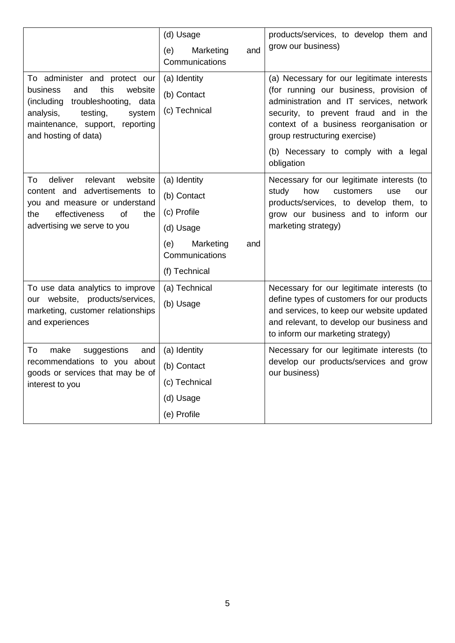|                                                                                                                                                                                                          | (d) Usage                                                                                                             | products/services, to develop them and                                                                                                                                                                                                                                                                      |
|----------------------------------------------------------------------------------------------------------------------------------------------------------------------------------------------------------|-----------------------------------------------------------------------------------------------------------------------|-------------------------------------------------------------------------------------------------------------------------------------------------------------------------------------------------------------------------------------------------------------------------------------------------------------|
|                                                                                                                                                                                                          | Marketing<br>and<br>(e)<br>Communications                                                                             | grow our business)                                                                                                                                                                                                                                                                                          |
| To administer and protect our<br>this<br>business<br>and<br>website<br>troubleshooting, data<br>(including<br>testing,<br>analysis,<br>system<br>maintenance, support, reporting<br>and hosting of data) | (a) Identity<br>(b) Contact<br>(c) Technical                                                                          | (a) Necessary for our legitimate interests<br>(for running our business, provision of<br>administration and IT services, network<br>security, to prevent fraud and in the<br>context of a business reorganisation or<br>group restructuring exercise)<br>(b) Necessary to comply with a legal<br>obligation |
| deliver<br>relevant<br>website<br>To<br>content and advertisements to<br>you and measure or understand<br>effectiveness<br>of<br>the<br>the<br>advertising we serve to you                               | (a) Identity<br>(b) Contact<br>(c) Profile<br>(d) Usage<br>Marketing<br>(e)<br>and<br>Communications<br>(f) Technical | Necessary for our legitimate interests (to<br>study<br>how<br>customers<br>use<br>our<br>products/services, to develop them, to<br>grow our business and to inform our<br>marketing strategy)                                                                                                               |
| To use data analytics to improve<br>our website, products/services,<br>marketing, customer relationships<br>and experiences                                                                              | (a) Technical<br>(b) Usage                                                                                            | Necessary for our legitimate interests (to<br>define types of customers for our products<br>and services, to keep our website updated<br>and relevant, to develop our business and<br>to inform our marketing strategy)                                                                                     |
| To<br>make<br>suggestions<br>and<br>recommendations to you about<br>goods or services that may be of<br>interest to you                                                                                  | (a) Identity<br>(b) Contact<br>(c) Technical<br>(d) Usage<br>(e) Profile                                              | Necessary for our legitimate interests (to<br>develop our products/services and grow<br>our business)                                                                                                                                                                                                       |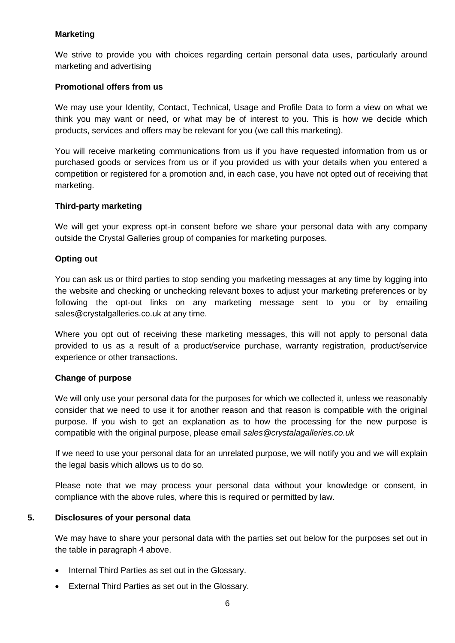## **Marketing**

We strive to provide you with choices regarding certain personal data uses, particularly around marketing and advertising

#### **Promotional offers from us**

We may use your Identity, Contact, Technical, Usage and Profile Data to form a view on what we think you may want or need, or what may be of interest to you. This is how we decide which products, services and offers may be relevant for you (we call this marketing).

You will receive marketing communications from us if you have requested information from us or purchased goods or services from us or if you provided us with your details when you entered a competition or registered for a promotion and, in each case, you have not opted out of receiving that marketing.

#### **Third-party marketing**

We will get your express opt-in consent before we share your personal data with any company outside the Crystal Galleries group of companies for marketing purposes.

## **Opting out**

You can ask us or third parties to stop sending you marketing messages at any time by logging into the website and checking or unchecking relevant boxes to adjust your marketing preferences or by following the opt-out links on any marketing message sent to you or by emailing sales@crystalgalleries.co.uk at any time.

Where you opt out of receiving these marketing messages, this will not apply to personal data provided to us as a result of a product/service purchase, warranty registration, product/service experience or other transactions.

#### **Change of purpose**

We will only use your personal data for the purposes for which we collected it, unless we reasonably consider that we need to use it for another reason and that reason is compatible with the original purpose. If you wish to get an explanation as to how the processing for the new purpose is compatible with the original purpose, please email *[sales@crystalagalleries.co.uk](mailto:sales@crystalagalleries.co.uk)*

If we need to use your personal data for an unrelated purpose, we will notify you and we will explain the legal basis which allows us to do so.

Please note that we may process your personal data without your knowledge or consent, in compliance with the above rules, where this is required or permitted by law.

#### **5. Disclosures of your personal data**

We may have to share your personal data with the parties set out below for the purposes set out in the table in paragraph 4 above.

- Internal Third Parties as set out in the Glossary.
- External Third Parties as set out in the Glossary.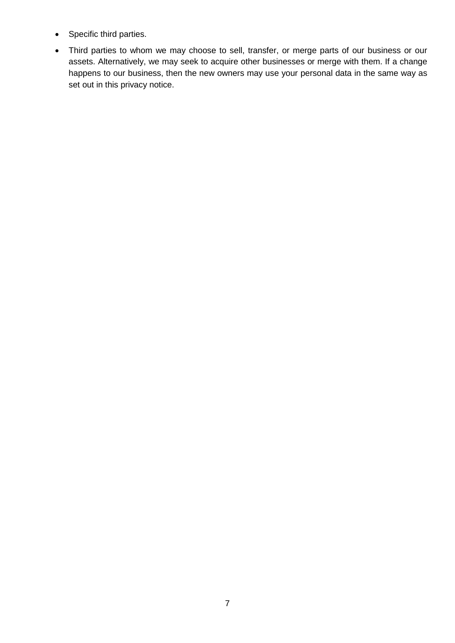- Specific third parties.
- Third parties to whom we may choose to sell, transfer, or merge parts of our business or our assets. Alternatively, we may seek to acquire other businesses or merge with them. If a change happens to our business, then the new owners may use your personal data in the same way as set out in this privacy notice.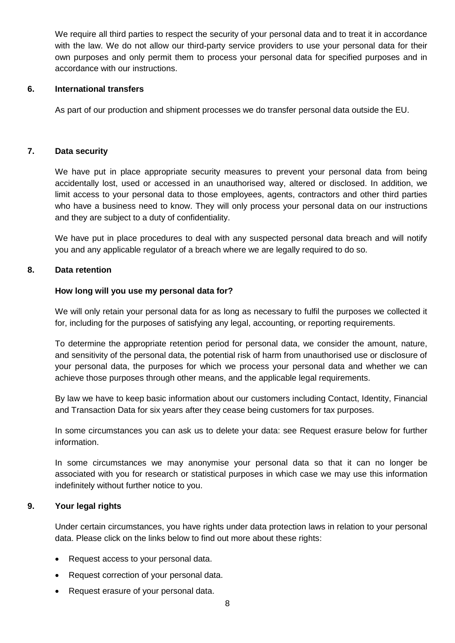We require all third parties to respect the security of your personal data and to treat it in accordance with the law. We do not allow our third-party service providers to use your personal data for their own purposes and only permit them to process your personal data for specified purposes and in accordance with our instructions.

#### **6. International transfers**

As part of our production and shipment processes we do transfer personal data outside the EU.

## **7. Data security**

We have put in place appropriate security measures to prevent your personal data from being accidentally lost, used or accessed in an unauthorised way, altered or disclosed. In addition, we limit access to your personal data to those employees, agents, contractors and other third parties who have a business need to know. They will only process your personal data on our instructions and they are subject to a duty of confidentiality.

We have put in place procedures to deal with any suspected personal data breach and will notify you and any applicable regulator of a breach where we are legally required to do so.

## **8. Data retention**

## **How long will you use my personal data for?**

We will only retain your personal data for as long as necessary to fulfil the purposes we collected it for, including for the purposes of satisfying any legal, accounting, or reporting requirements.

To determine the appropriate retention period for personal data, we consider the amount, nature, and sensitivity of the personal data, the potential risk of harm from unauthorised use or disclosure of your personal data, the purposes for which we process your personal data and whether we can achieve those purposes through other means, and the applicable legal requirements.

By law we have to keep basic information about our customers including Contact, Identity, Financial and Transaction Data for six years after they cease being customers for tax purposes.

In some circumstances you can ask us to delete your data: see Request erasure below for further information.

In some circumstances we may anonymise your personal data so that it can no longer be associated with you for research or statistical purposes in which case we may use this information indefinitely without further notice to you.

# **9. Your legal rights**

Under certain circumstances, you have rights under data protection laws in relation to your personal data. Please click on the links below to find out more about these rights:

- Request access to your personal data.
- Request correction of your personal data.
- Request erasure of your personal data.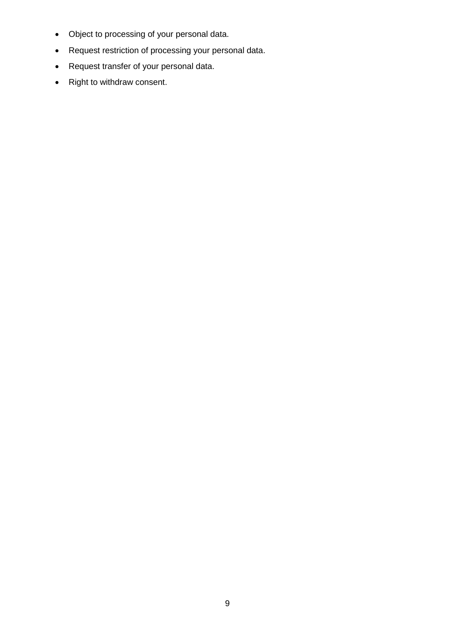- Object to processing of your personal data.
- Request restriction of processing your personal data.
- Request transfer of your personal data.
- Right to withdraw consent.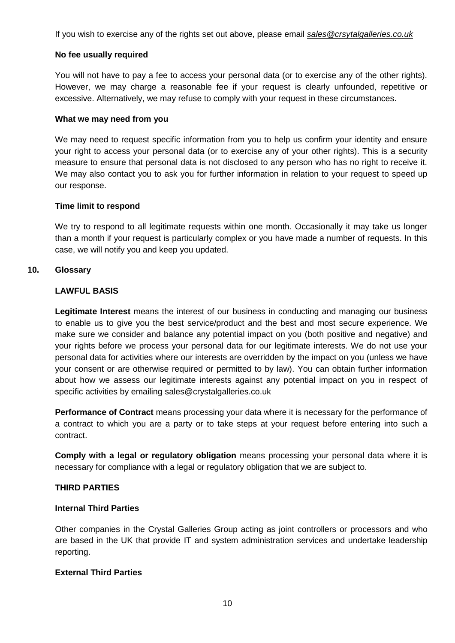If you wish to exercise any of the rights set out above, please email *[sales@crsytalgalleries.co.uk](mailto:sales@crsytalgalleries.co.uk)*

#### **No fee usually required**

You will not have to pay a fee to access your personal data (or to exercise any of the other rights). However, we may charge a reasonable fee if your request is clearly unfounded, repetitive or excessive. Alternatively, we may refuse to comply with your request in these circumstances.

#### **What we may need from you**

We may need to request specific information from you to help us confirm your identity and ensure your right to access your personal data (or to exercise any of your other rights). This is a security measure to ensure that personal data is not disclosed to any person who has no right to receive it. We may also contact you to ask you for further information in relation to your request to speed up our response.

## **Time limit to respond**

We try to respond to all legitimate requests within one month. Occasionally it may take us longer than a month if your request is particularly complex or you have made a number of requests. In this case, we will notify you and keep you updated.

## **10. Glossary**

## **LAWFUL BASIS**

**Legitimate Interest** means the interest of our business in conducting and managing our business to enable us to give you the best service/product and the best and most secure experience. We make sure we consider and balance any potential impact on you (both positive and negative) and your rights before we process your personal data for our legitimate interests. We do not use your personal data for activities where our interests are overridden by the impact on you (unless we have your consent or are otherwise required or permitted to by law). You can obtain further information about how we assess our legitimate interests against any potential impact on you in respect of specific activities by emailing sales@crystalgalleries.co.uk

**Performance of Contract** means processing your data where it is necessary for the performance of a contract to which you are a party or to take steps at your request before entering into such a contract.

**Comply with a legal or regulatory obligation** means processing your personal data where it is necessary for compliance with a legal or regulatory obligation that we are subject to.

#### **THIRD PARTIES**

#### **Internal Third Parties**

Other companies in the Crystal Galleries Group acting as joint controllers or processors and who are based in the UK that provide IT and system administration services and undertake leadership reporting.

#### **External Third Parties**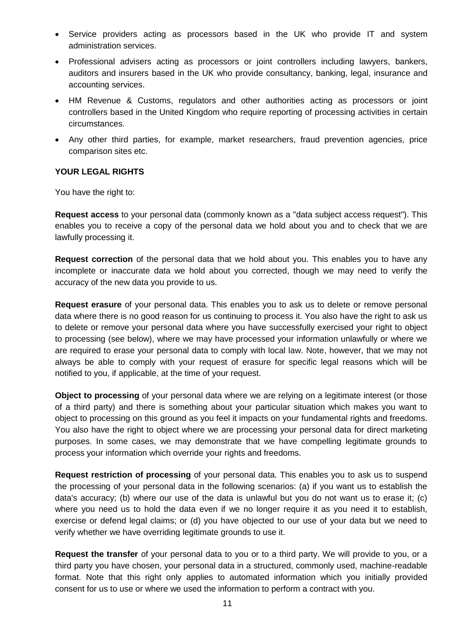- Service providers acting as processors based in the UK who provide IT and system administration services.
- Professional advisers acting as processors or joint controllers including lawyers, bankers, auditors and insurers based in the UK who provide consultancy, banking, legal, insurance and accounting services.
- HM Revenue & Customs, regulators and other authorities acting as processors or joint controllers based in the United Kingdom who require reporting of processing activities in certain circumstances.
- Any other third parties, for example, market researchers, fraud prevention agencies, price comparison sites etc.

## **YOUR LEGAL RIGHTS**

You have the right to:

**Request access** to your personal data (commonly known as a "data subject access request"). This enables you to receive a copy of the personal data we hold about you and to check that we are lawfully processing it.

**Request correction** of the personal data that we hold about you. This enables you to have any incomplete or inaccurate data we hold about you corrected, though we may need to verify the accuracy of the new data you provide to us.

**Request erasure** of your personal data. This enables you to ask us to delete or remove personal data where there is no good reason for us continuing to process it. You also have the right to ask us to delete or remove your personal data where you have successfully exercised your right to object to processing (see below), where we may have processed your information unlawfully or where we are required to erase your personal data to comply with local law. Note, however, that we may not always be able to comply with your request of erasure for specific legal reasons which will be notified to you, if applicable, at the time of your request.

**Object to processing** of your personal data where we are relying on a legitimate interest (or those of a third party) and there is something about your particular situation which makes you want to object to processing on this ground as you feel it impacts on your fundamental rights and freedoms. You also have the right to object where we are processing your personal data for direct marketing purposes. In some cases, we may demonstrate that we have compelling legitimate grounds to process your information which override your rights and freedoms.

**Request restriction of processing** of your personal data. This enables you to ask us to suspend the processing of your personal data in the following scenarios: (a) if you want us to establish the data's accuracy; (b) where our use of the data is unlawful but you do not want us to erase it; (c) where you need us to hold the data even if we no longer require it as you need it to establish, exercise or defend legal claims; or (d) you have objected to our use of your data but we need to verify whether we have overriding legitimate grounds to use it.

**Request the transfer** of your personal data to you or to a third party. We will provide to you, or a third party you have chosen, your personal data in a structured, commonly used, machine-readable format. Note that this right only applies to automated information which you initially provided consent for us to use or where we used the information to perform a contract with you.